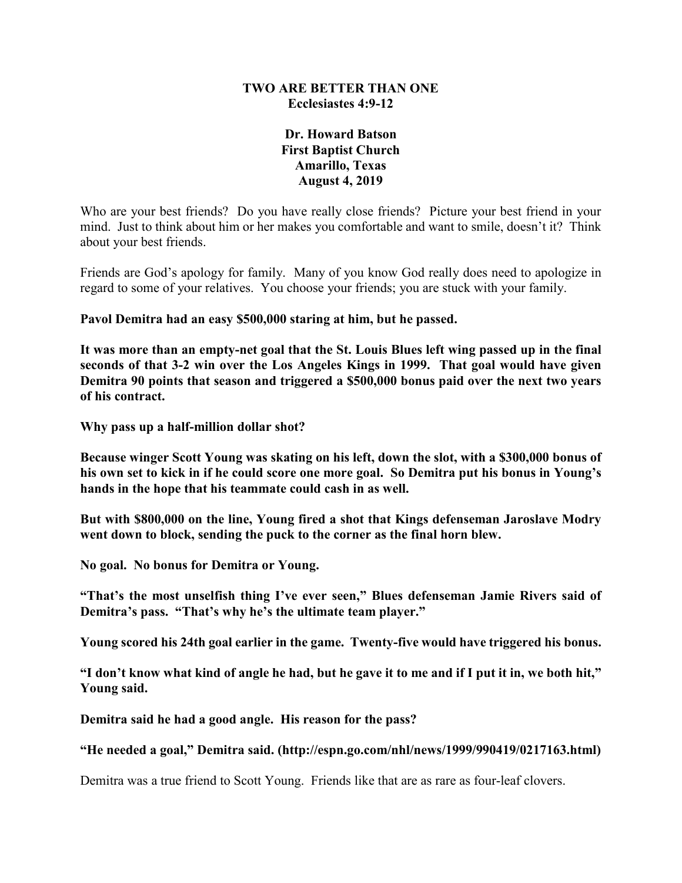### **TWO ARE BETTER THAN ONE Ecclesiastes 4:9-12**

## **Dr. Howard Batson First Baptist Church Amarillo, Texas August 4, 2019**

Who are your best friends? Do you have really close friends? Picture your best friend in your mind. Just to think about him or her makes you comfortable and want to smile, doesn't it? Think about your best friends.

Friends are God's apology for family. Many of you know God really does need to apologize in regard to some of your relatives. You choose your friends; you are stuck with your family.

**Pavol Demitra had an easy \$500,000 staring at him, but he passed.**

**It was more than an empty-net goal that the St. Louis Blues left wing passed up in the final seconds of that 3-2 win over the Los Angeles Kings in 1999. That goal would have given Demitra 90 points that season and triggered a \$500,000 bonus paid over the next two years of his contract.**

**Why pass up a half-million dollar shot?**

**Because winger Scott Young was skating on his left, down the slot, with a \$300,000 bonus of his own set to kick in if he could score one more goal. So Demitra put his bonus in Young's hands in the hope that his teammate could cash in as well.**

**But with \$800,000 on the line, Young fired a shot that Kings defenseman Jaroslave Modry went down to block, sending the puck to the corner as the final horn blew.**

**No goal. No bonus for Demitra or Young.**

**"That's the most unselfish thing I've ever seen," Blues defenseman Jamie Rivers said of Demitra's pass. "That's why he's the ultimate team player."**

**Young scored his 24th goal earlier in the game. Twenty-five would have triggered his bonus.**

**"I don't know what kind of angle he had, but he gave it to me and if I put it in, we both hit," Young said.**

**Demitra said he had a good angle. His reason for the pass?**

**"He needed a goal," Demitra said. (http://espn.go.com/nhl/news/1999/990419/0217163.html)**

Demitra was a true friend to Scott Young. Friends like that are as rare as four-leaf clovers.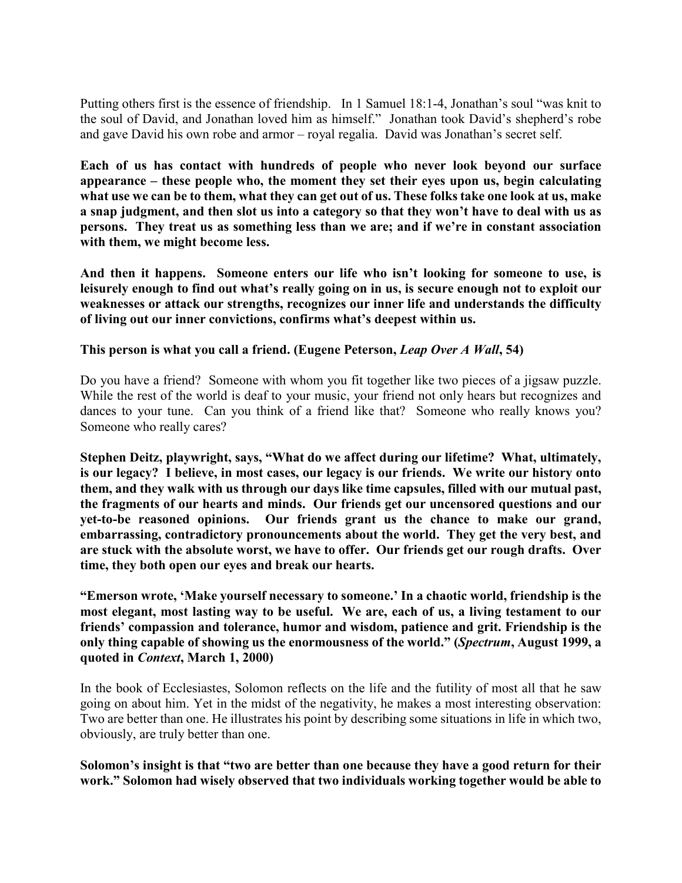Putting others first is the essence of friendship. In 1 Samuel 18:1-4, Jonathan's soul "was knit to the soul of David, and Jonathan loved him as himself." Jonathan took David's shepherd's robe and gave David his own robe and armor – royal regalia. David was Jonathan's secret self.

**Each of us has contact with hundreds of people who never look beyond our surface appearance – these people who, the moment they set their eyes upon us, begin calculating what use we can be to them, what they can get out of us. These folks take one look at us, make a snap judgment, and then slot us into a category so that they won't have to deal with us as persons. They treat us as something less than we are; and if we're in constant association with them, we might become less.**

**And then it happens. Someone enters our life who isn't looking for someone to use, is leisurely enough to find out what's really going on in us, is secure enough not to exploit our weaknesses or attack our strengths, recognizes our inner life and understands the difficulty of living out our inner convictions, confirms what's deepest within us.**

### **This person is what you call a friend. (Eugene Peterson,** *Leap Over A Wall***, 54)**

Do you have a friend? Someone with whom you fit together like two pieces of a jigsaw puzzle. While the rest of the world is deaf to your music, your friend not only hears but recognizes and dances to your tune. Can you think of a friend like that? Someone who really knows you? Someone who really cares?

**Stephen Deitz, playwright, says, "What do we affect during our lifetime? What, ultimately, is our legacy? I believe, in most cases, our legacy is our friends. We write our history onto them, and they walk with us through our days like time capsules, filled with our mutual past, the fragments of our hearts and minds. Our friends get our uncensored questions and our yet-to-be reasoned opinions. Our friends grant us the chance to make our grand, embarrassing, contradictory pronouncements about the world. They get the very best, and are stuck with the absolute worst, we have to offer. Our friends get our rough drafts. Over time, they both open our eyes and break our hearts.**

**"Emerson wrote, 'Make yourself necessary to someone.' In a chaotic world, friendship is the most elegant, most lasting way to be useful. We are, each of us, a living testament to our friends' compassion and tolerance, humor and wisdom, patience and grit. Friendship is the only thing capable of showing us the enormousness of the world." (***Spectrum***, August 1999, a quoted in** *Context***, March 1, 2000)**

In the book of Ecclesiastes, Solomon reflects on the life and the futility of most all that he saw going on about him. Yet in the midst of the negativity, he makes a most interesting observation: Two are better than one. He illustrates his point by describing some situations in life in which two, obviously, are truly better than one.

**Solomon's insight is that "two are better than one because they have a good return for their work." Solomon had wisely observed that two individuals working together would be able to**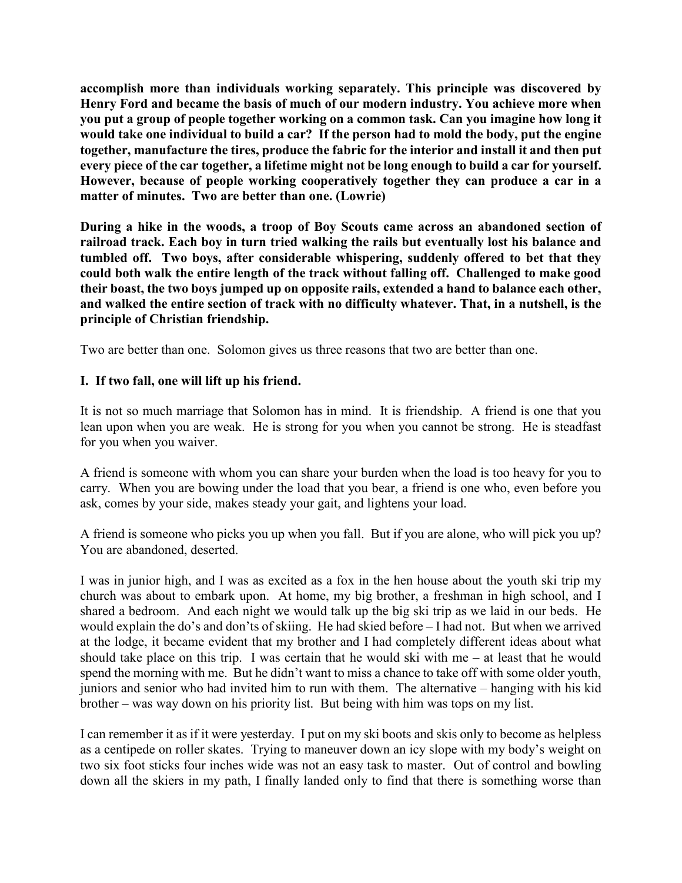**accomplish more than individuals working separately. This principle was discovered by Henry Ford and became the basis of much of our modern industry. You achieve more when you put a group of people together working on a common task. Can you imagine how long it would take one individual to build a car? If the person had to mold the body, put the engine together, manufacture the tires, produce the fabric for the interior and install it and then put every piece of the car together, a lifetime might not be long enough to build a car for yourself. However, because of people working cooperatively together they can produce a car in a matter of minutes. Two are better than one. (Lowrie)**

**During a hike in the woods, a troop of Boy Scouts came across an abandoned section of railroad track. Each boy in turn tried walking the rails but eventually lost his balance and tumbled off. Two boys, after considerable whispering, suddenly offered to bet that they could both walk the entire length of the track without falling off. Challenged to make good their boast, the two boys jumped up on opposite rails, extended a hand to balance each other, and walked the entire section of track with no difficulty whatever. That, in a nutshell, is the principle of Christian friendship.**

Two are better than one. Solomon gives us three reasons that two are better than one.

# **I. If two fall, one will lift up his friend.**

It is not so much marriage that Solomon has in mind. It is friendship. A friend is one that you lean upon when you are weak. He is strong for you when you cannot be strong. He is steadfast for you when you waiver.

A friend is someone with whom you can share your burden when the load is too heavy for you to carry. When you are bowing under the load that you bear, a friend is one who, even before you ask, comes by your side, makes steady your gait, and lightens your load.

A friend is someone who picks you up when you fall. But if you are alone, who will pick you up? You are abandoned, deserted.

I was in junior high, and I was as excited as a fox in the hen house about the youth ski trip my church was about to embark upon. At home, my big brother, a freshman in high school, and I shared a bedroom. And each night we would talk up the big ski trip as we laid in our beds. He would explain the do's and don'ts of skiing. He had skied before – I had not. But when we arrived at the lodge, it became evident that my brother and I had completely different ideas about what should take place on this trip. I was certain that he would ski with me – at least that he would spend the morning with me. But he didn't want to miss a chance to take off with some older youth, juniors and senior who had invited him to run with them. The alternative – hanging with his kid brother – was way down on his priority list. But being with him was tops on my list.

I can remember it as if it were yesterday. I put on my ski boots and skis only to become as helpless as a centipede on roller skates. Trying to maneuver down an icy slope with my body's weight on two six foot sticks four inches wide was not an easy task to master. Out of control and bowling down all the skiers in my path, I finally landed only to find that there is something worse than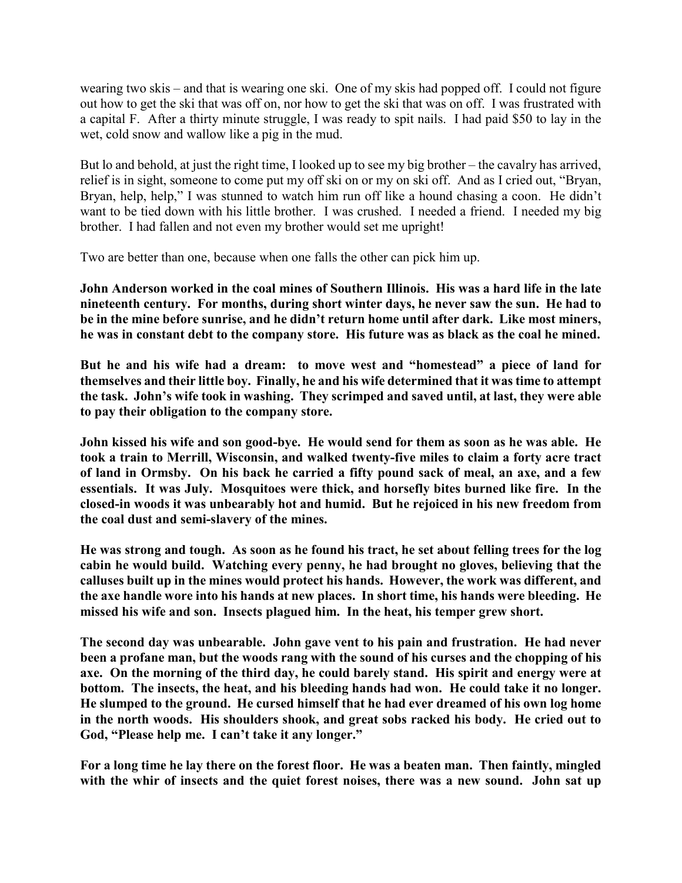wearing two skis – and that is wearing one ski. One of my skis had popped off. I could not figure out how to get the ski that was off on, nor how to get the ski that was on off. I was frustrated with a capital F. After a thirty minute struggle, I was ready to spit nails. I had paid \$50 to lay in the wet, cold snow and wallow like a pig in the mud.

But lo and behold, at just the right time, I looked up to see my big brother – the cavalry has arrived, relief is in sight, someone to come put my off ski on or my on ski off. And as I cried out, "Bryan, Bryan, help, help," I was stunned to watch him run off like a hound chasing a coon. He didn't want to be tied down with his little brother. I was crushed. I needed a friend. I needed my big brother. I had fallen and not even my brother would set me upright!

Two are better than one, because when one falls the other can pick him up.

**John Anderson worked in the coal mines of Southern Illinois. His was a hard life in the late nineteenth century. For months, during short winter days, he never saw the sun. He had to be in the mine before sunrise, and he didn't return home until after dark. Like most miners, he was in constant debt to the company store. His future was as black as the coal he mined.**

**But he and his wife had a dream: to move west and "homestead" a piece of land for themselves and their little boy. Finally, he and his wife determined that it was time to attempt the task. John's wife took in washing. They scrimped and saved until, at last, they were able to pay their obligation to the company store.**

**John kissed his wife and son good-bye. He would send for them as soon as he was able. He took a train to Merrill, Wisconsin, and walked twenty-five miles to claim a forty acre tract of land in Ormsby. On his back he carried a fifty pound sack of meal, an axe, and a few essentials. It was July. Mosquitoes were thick, and horsefly bites burned like fire. In the closed-in woods it was unbearably hot and humid. But he rejoiced in his new freedom from the coal dust and semi-slavery of the mines.**

**He was strong and tough. As soon as he found his tract, he set about felling trees for the log cabin he would build. Watching every penny, he had brought no gloves, believing that the calluses built up in the mines would protect his hands. However, the work was different, and the axe handle wore into his hands at new places. In short time, his hands were bleeding. He missed his wife and son. Insects plagued him. In the heat, his temper grew short.**

**The second day was unbearable. John gave vent to his pain and frustration. He had never been a profane man, but the woods rang with the sound of his curses and the chopping of his axe. On the morning of the third day, he could barely stand. His spirit and energy were at bottom. The insects, the heat, and his bleeding hands had won. He could take it no longer. He slumped to the ground. He cursed himself that he had ever dreamed of his own log home in the north woods. His shoulders shook, and great sobs racked his body. He cried out to God, "Please help me. I can't take it any longer."**

**For a long time he lay there on the forest floor. He was a beaten man. Then faintly, mingled with the whir of insects and the quiet forest noises, there was a new sound. John sat up**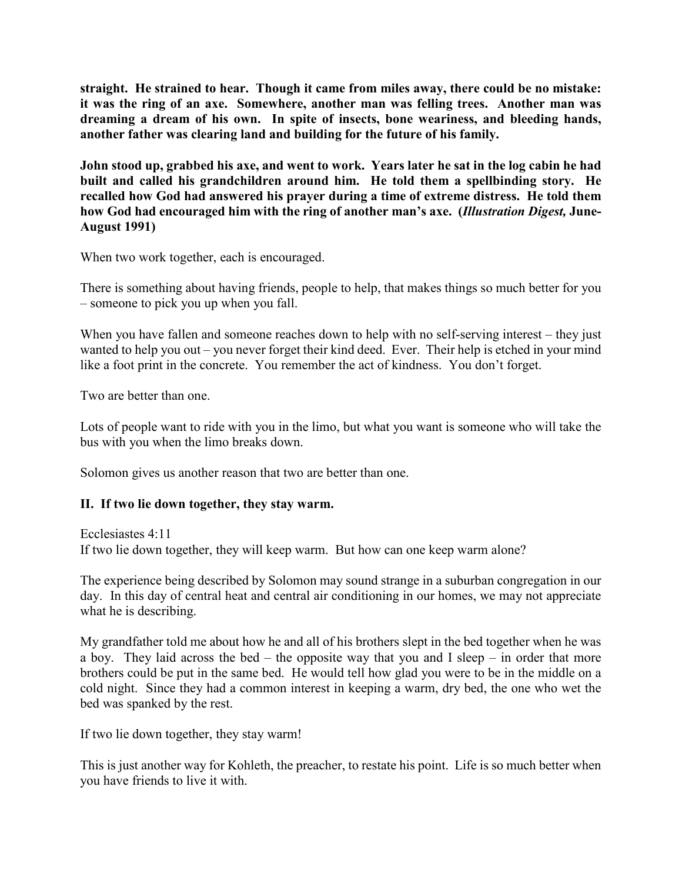**straight. He strained to hear. Though it came from miles away, there could be no mistake: it was the ring of an axe. Somewhere, another man was felling trees. Another man was dreaming a dream of his own. In spite of insects, bone weariness, and bleeding hands, another father was clearing land and building for the future of his family.**

**John stood up, grabbed his axe, and went to work. Years later he sat in the log cabin he had built and called his grandchildren around him. He told them a spellbinding story. He recalled how God had answered his prayer during a time of extreme distress. He told them how God had encouraged him with the ring of another man's axe. (***Illustration Digest,* **June-August 1991)**

When two work together, each is encouraged.

There is something about having friends, people to help, that makes things so much better for you – someone to pick you up when you fall.

When you have fallen and someone reaches down to help with no self-serving interest – they just wanted to help you out – you never forget their kind deed. Ever. Their help is etched in your mind like a foot print in the concrete. You remember the act of kindness. You don't forget.

Two are better than one.

Lots of people want to ride with you in the limo, but what you want is someone who will take the bus with you when the limo breaks down.

Solomon gives us another reason that two are better than one.

### **II. If two lie down together, they stay warm.**

Ecclesiastes 4:11 If two lie down together, they will keep warm. But how can one keep warm alone?

The experience being described by Solomon may sound strange in a suburban congregation in our day. In this day of central heat and central air conditioning in our homes, we may not appreciate what he is describing.

My grandfather told me about how he and all of his brothers slept in the bed together when he was a boy. They laid across the bed – the opposite way that you and I sleep – in order that more brothers could be put in the same bed. He would tell how glad you were to be in the middle on a cold night. Since they had a common interest in keeping a warm, dry bed, the one who wet the bed was spanked by the rest.

If two lie down together, they stay warm!

This is just another way for Kohleth, the preacher, to restate his point. Life is so much better when you have friends to live it with.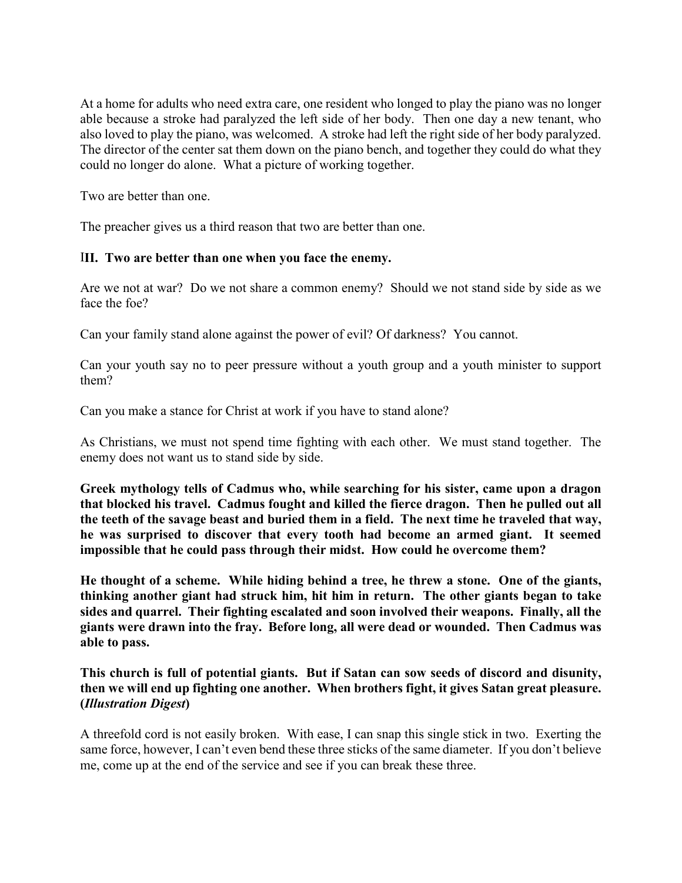At a home for adults who need extra care, one resident who longed to play the piano was no longer able because a stroke had paralyzed the left side of her body. Then one day a new tenant, who also loved to play the piano, was welcomed. A stroke had left the right side of her body paralyzed. The director of the center sat them down on the piano bench, and together they could do what they could no longer do alone. What a picture of working together.

Two are better than one.

The preacher gives us a third reason that two are better than one.

## I**II. Two are better than one when you face the enemy.**

Are we not at war? Do we not share a common enemy? Should we not stand side by side as we face the foe?

Can your family stand alone against the power of evil? Of darkness? You cannot.

Can your youth say no to peer pressure without a youth group and a youth minister to support them?

Can you make a stance for Christ at work if you have to stand alone?

As Christians, we must not spend time fighting with each other. We must stand together. The enemy does not want us to stand side by side.

**Greek mythology tells of Cadmus who, while searching for his sister, came upon a dragon that blocked his travel. Cadmus fought and killed the fierce dragon. Then he pulled out all the teeth of the savage beast and buried them in a field. The next time he traveled that way, he was surprised to discover that every tooth had become an armed giant. It seemed impossible that he could pass through their midst. How could he overcome them?**

**He thought of a scheme. While hiding behind a tree, he threw a stone. One of the giants, thinking another giant had struck him, hit him in return. The other giants began to take sides and quarrel. Their fighting escalated and soon involved their weapons. Finally, all the giants were drawn into the fray. Before long, all were dead or wounded. Then Cadmus was able to pass.**

## **This church is full of potential giants. But if Satan can sow seeds of discord and disunity, then we will end up fighting one another. When brothers fight, it gives Satan great pleasure. (***Illustration Digest***)**

A threefold cord is not easily broken. With ease, I can snap this single stick in two. Exerting the same force, however, I can't even bend these three sticks of the same diameter. If you don't believe me, come up at the end of the service and see if you can break these three.